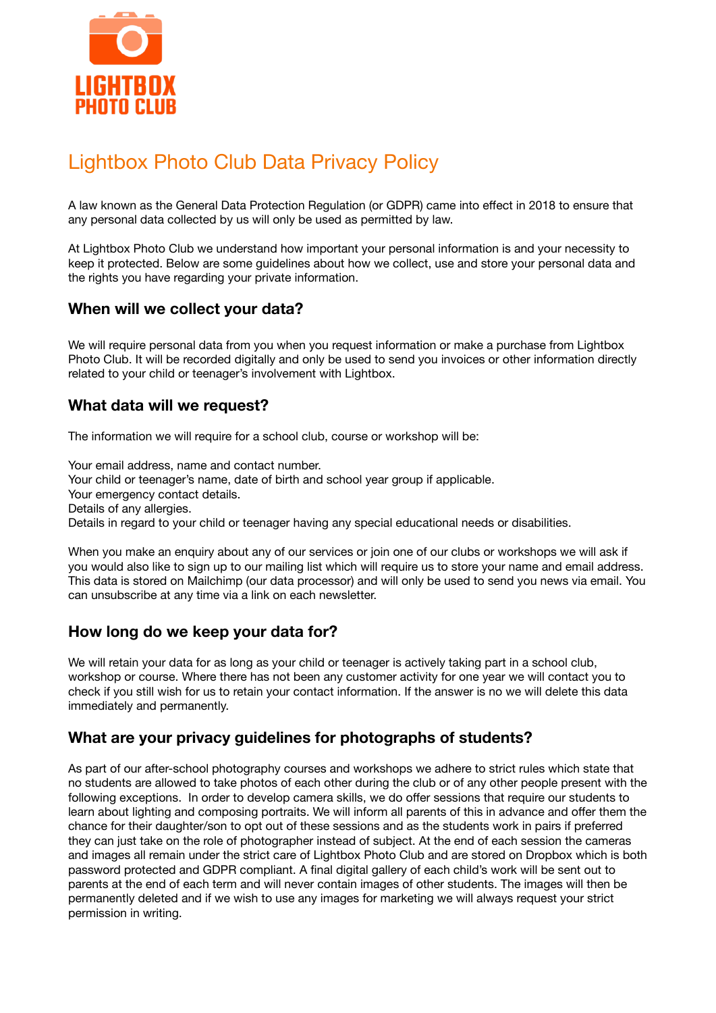

# Lightbox Photo Club Data Privacy Policy

A law known as the General Data Protection Regulation (or GDPR) came into effect in 2018 to ensure that any personal data collected by us will only be used as permitted by law.

At Lightbox Photo Club we understand how important your personal information is and your necessity to keep it protected. Below are some guidelines about how we collect, use and store your personal data and the rights you have regarding your private information.

## **When will we collect your data?**

We will require personal data from you when you request information or make a purchase from Lightbox Photo Club. It will be recorded digitally and only be used to send you invoices or other information directly related to your child or teenager's involvement with Lightbox.

# **What data will we request?**

The information we will require for a school club, course or workshop will be:

Your email address, name and contact number.

Your child or teenager's name, date of birth and school year group if applicable.

Your emergency contact details.

Details of any allergies.

Details in regard to your child or teenager having any special educational needs or disabilities.

When you make an enquiry about any of our services or join one of our clubs or workshops we will ask if you would also like to sign up to our mailing list which will require us to store your name and email address. This data is stored on Mailchimp (our data processor) and will only be used to send you news via email. You can unsubscribe at any time via a link on each newsletter.

#### **How long do we keep your data for?**

We will retain your data for as long as your child or teenager is actively taking part in a school club, workshop or course. Where there has not been any customer activity for one year we will contact you to check if you still wish for us to retain your contact information. If the answer is no we will delete this data immediately and permanently.

#### **What are your privacy guidelines for photographs of students?**

As part of our after-school photography courses and workshops we adhere to strict rules which state that no students are allowed to take photos of each other during the club or of any other people present with the following exceptions. In order to develop camera skills, we do offer sessions that require our students to learn about lighting and composing portraits. We will inform all parents of this in advance and offer them the chance for their daughter/son to opt out of these sessions and as the students work in pairs if preferred they can just take on the role of photographer instead of subject. At the end of each session the cameras and images all remain under the strict care of Lightbox Photo Club and are stored on Dropbox which is both password protected and GDPR compliant. A final digital gallery of each child's work will be sent out to parents at the end of each term and will never contain images of other students. The images will then be permanently deleted and if we wish to use any images for marketing we will always request your strict permission in writing.